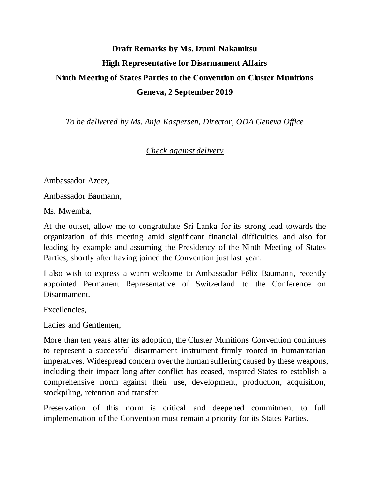## **Draft Remarks by Ms. Izumi Nakamitsu High Representative for Disarmament Affairs Ninth Meeting of States Parties to the Convention on Cluster Munitions Geneva, 2 September 2019**

*To be delivered by Ms. Anja Kaspersen, Director, ODA Geneva Office* 

## *Check against delivery*

Ambassador Azeez,

Ambassador Baumann,

Ms. Mwemba,

At the outset, allow me to congratulate Sri Lanka for its strong lead towards the organization of this meeting amid significant financial difficulties and also for leading by example and assuming the Presidency of the Ninth Meeting of States Parties, shortly after having joined the Convention just last year.

I also wish to express a warm welcome to Ambassador Félix Baumann, recently appointed Permanent Representative of Switzerland to the Conference on Disarmament.

Excellencies,

Ladies and Gentlemen,

More than ten years after its adoption, the Cluster Munitions Convention continues to represent a successful disarmament instrument firmly rooted in humanitarian imperatives. Widespread concern over the human suffering caused by these weapons, including their impact long after conflict has ceased, inspired States to establish a comprehensive norm against their use, development, production, acquisition, stockpiling, retention and transfer.

Preservation of this norm is critical and deepened commitment to full implementation of the Convention must remain a priority for its States Parties.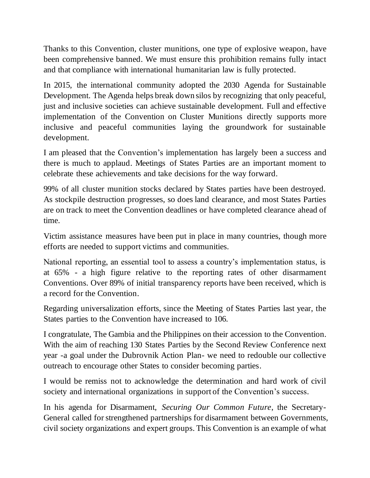Thanks to this Convention, cluster munitions, one type of explosive weapon, have been comprehensive banned. We must ensure this prohibition remains fully intact and that compliance with international humanitarian law is fully protected.

In 2015, the international community adopted the 2030 Agenda for Sustainable Development. The Agenda helps break down silos by recognizing that only peaceful, just and inclusive societies can achieve sustainable development. Full and effective implementation of the Convention on Cluster Munitions directly supports more inclusive and peaceful communities laying the groundwork for sustainable development.

I am pleased that the Convention's implementation has largely been a success and there is much to applaud. Meetings of States Parties are an important moment to celebrate these achievements and take decisions for the way forward.

99% of all cluster munition stocks declared by States parties have been destroyed. As stockpile destruction progresses, so does land clearance, and most States Parties are on track to meet the Convention deadlines or have completed clearance ahead of time.

Victim assistance measures have been put in place in many countries, though more efforts are needed to support victims and communities.

National reporting, an essential tool to assess a country's implementation status, is at 65% - a high figure relative to the reporting rates of other disarmament Conventions. Over 89% of initial transparency reports have been received, which is a record for the Convention.

Regarding universalization efforts, since the Meeting of States Parties last year, the States parties to the Convention have increased to 106.

I congratulate, The Gambia and the Philippines on their accession to the Convention. With the aim of reaching 130 States Parties by the Second Review Conference next year -a goal under the Dubrovnik Action Plan- we need to redouble our collective outreach to encourage other States to consider becoming parties.

I would be remiss not to acknowledge the determination and hard work of civil society and international organizations in support of the Convention's success.

In his agenda for Disarmament, *Securing Our Common Future*, the Secretary-General called for strengthened partnerships for disarmament between Governments, civil society organizations and expert groups. This Convention is an example of what